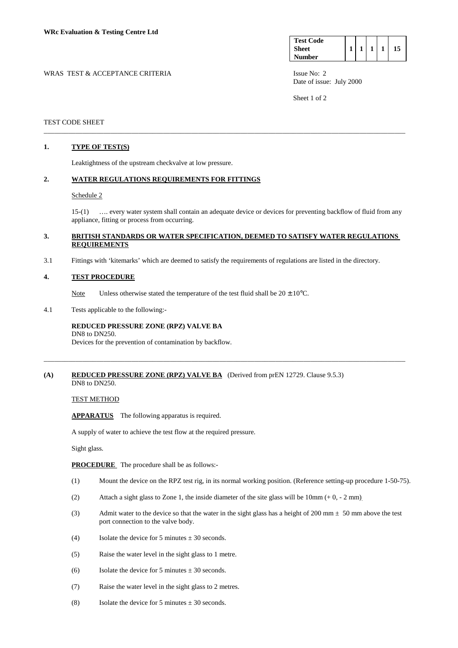| <b>Test Code</b> |  |  |  |
|------------------|--|--|--|
| <b>Sheet</b>     |  |  |  |
| <b>Number</b>    |  |  |  |

WRAS TEST & ACCEPTANCE CRITERIA ISSUE No: 2 Date of issue: July 2000

Sheet 1 of 2

### TEST CODE SHEET

## **1. TYPE OF TEST(S)**

Leaktightness of the upstream checkvalve at low pressure.

### **2. WATER REGULATIONS REQUIREMENTS FOR FITTINGS**

#### Schedule 2

 15-(1) …. every water system shall contain an adequate device or devices for preventing backflow of fluid from any appliance, fitting or process from occurring.

### **3. BRITISH STANDARDS OR WATER SPECIFICATION, DEEMED TO SATISFY WATER REGULATIONS REQUIREMENTS**

\_\_\_\_\_\_\_\_\_\_\_\_\_\_\_\_\_\_\_\_\_\_\_\_\_\_\_\_\_\_\_\_\_\_\_\_\_\_\_\_\_\_\_\_\_\_\_\_\_\_\_\_\_\_\_\_\_\_\_\_\_\_\_\_\_\_\_\_\_\_\_\_\_\_\_\_\_\_\_\_\_\_\_\_\_\_\_\_\_\_\_\_\_\_\_\_\_\_\_\_\_\_\_

\_\_\_\_\_\_\_\_\_\_\_\_\_\_\_\_\_\_\_\_\_\_\_\_\_\_\_\_\_\_\_\_\_\_\_\_\_\_\_\_\_\_\_\_\_\_\_\_\_\_\_\_\_\_\_\_\_\_\_\_\_\_\_\_\_\_\_\_\_\_\_\_\_\_\_\_\_\_\_\_\_\_\_\_\_\_\_\_\_\_\_\_\_\_\_\_\_\_\_\_\_\_\_

3.1 Fittings with 'kitemarks' which are deemed to satisfy the requirements of regulations are listed in the directory.

### **4. TEST PROCEDURE**

Note Unless otherwise stated the temperature of the test fluid shall be  $20 \pm 10^{\circ}$ C.

4.1 Tests applicable to the following:-

### **REDUCED PRESSURE ZONE (RPZ) VALVE BA**  DN8 to DN250.

Devices for the prevention of contamination by backflow.

### **(A) REDUCED PRESSURE ZONE (RPZ) VALVE BA** (Derived from prEN 12729. Clause 9.5.3) DN8 to DN250.

TEST METHOD

**APPARATUS** The following apparatus is required.

A supply of water to achieve the test flow at the required pressure.

Sight glass.

**PROCEDURE** The procedure shall be as follows:-

- (1) Mount the device on the RPZ test rig, in its normal working position. (Reference setting-up procedure 1-50-75).
- (2) Attach a sight glass to Zone 1, the inside diameter of the site glass will be  $10 \text{mm} (+0, -2 \text{mm})$ .
- (3) Admit water to the device so that the water in the sight glass has a height of 200 mm  $\pm$  50 mm above the test port connection to the valve body.
- (4) Isolate the device for 5 minutes  $\pm$  30 seconds.
- (5) Raise the water level in the sight glass to 1 metre.
- (6) Isolate the device for 5 minutes  $\pm$  30 seconds.
- (7) Raise the water level in the sight glass to 2 metres.
- (8) Isolate the device for 5 minutes  $\pm$  30 seconds.